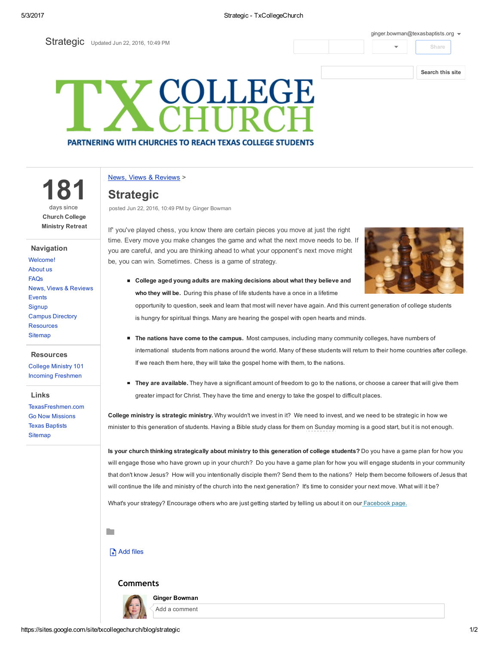### 5/3/2017 Strategic TxCollegeChurch

Strategic Updated Jun 22, 2016, 10:49 PM

#### [ginger.bowman@texasbaptists.org](https://accounts.google.com/SignOutOptions?hl=en&continue=https://sites.google.com/site/txcollegechurch/blog/strategic&service=jotspot)  $\bullet$

### Share

### [Search](https://sites.google.com/site/txcollegechurch/) this site

# **COLLEGE PARTNERING WITH CHURCHES TO REACH TEXAS COLLEGE STUDENTS**

News, Views & [Reviews](https://sites.google.com/site/txcollegechurch/blog) >

# **Strategic**

181

days since Church College Ministry Retreat

News, Views & [Reviews](https://sites.google.com/site/txcollegechurch/blog)

Campus [Directory](https://sites.google.com/site/txcollegechurch/campus-directory) [Resources](https://sites.google.com/site/txcollegechurch/resources) **[Sitemap](https://sites.google.com/site/txcollegechurch/system/app/pages/sitemap/hierarchy)** 

**Resources** [College](https://sites.google.com/site/txcollegechurch/resources/college-ministry-essentials) Ministry 101 Incoming [Freshmen](https://sites.google.com/site/txcollegechurch/resources/incoming-freshmen)

[TexasFreshmen.com](http://texasfreshmen.com/) Go Now [Missions](http://www.gonowmissions.com/) Texas [Baptists](http://www.texasbaptists.org/) **[Sitemap](https://sites.google.com/site/txcollegechurch/system/app/pages/sitemap/hierarchy)** 

Links

Navigation [Welcome!](https://sites.google.com/site/txcollegechurch/home) [About](https://sites.google.com/site/txcollegechurch/about) us [FAQs](https://sites.google.com/site/txcollegechurch/faqs)

[Events](https://sites.google.com/site/txcollegechurch/events) **[Signup](https://sites.google.com/site/txcollegechurch/signup)**  posted Jun 22, 2016, 10:49 PM by Ginger Bowman

If' you've played chess, you know there are certain pieces you move at just the right time. Every move you make changes the game and what the next move needs to be. If you are careful, and you are thinking ahead to what your opponent's next move might be, you can win. Sometimes. Chess is a game of strategy.



■ College aged young adults are making decisions about what they believe and who they will be. During this phase of life students have a once in a lifetime

opportunity to question, seek and learn that most will never have again. And this current generation of college students is hungry for spiritual things. Many are hearing the gospel with open hearts and minds.

- **The nations have come to the campus.** Most campuses, including many community colleges, have numbers of international students from nations around the world. Many of these students will return to their home countries after college. If we reach them here, they will take the gospel home with them, to the nations.
- They are available. They have a significant amount of freedom to go to the nations, or choose a career that will give them greater impact for Christ. They have the time and energy to take the gospel to difficult places.

College ministry is strategic ministry. Why wouldn't we invest in it? We need to invest, and we need to be strategic in how we minister to this generation of students. Having a Bible study class for them on Sunday morning is a good start, but it is not enough.

Is your church thinking strategically about ministry to this generation of college students? Do you have a game plan for how you will engage those who have grown up in your church? Do you have a game plan for how you will engage students in your community that don't know Jesus? How will you intentionally disciple them? Send them to the nations? Help them become followers of Jesus that will continue the life and ministry of the church into the next generation? It's time to consider your next move. What will it be?

What's your strategy? Encourage others who are just getting started by telling us about it on our [Facebook](http://collegiatechurchlife.us1.list-manage1.com/track/click?u=05bce292c6d030cdf9b00c9a8&id=61e28a1b59&e=464e710706) page.

## **P**

# Add files

### Comments



Ginger Bowman Add a comment